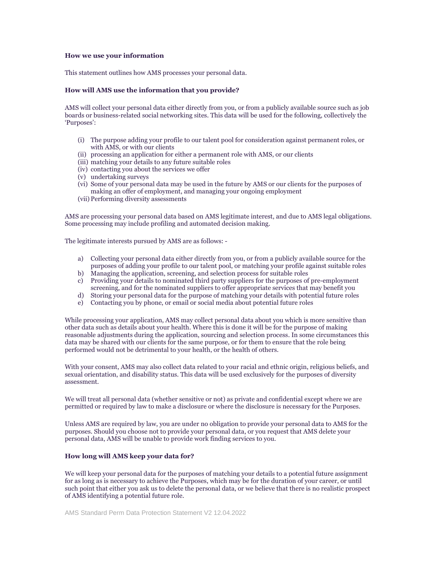### **How we use your information**

This statement outlines how AMS processes your personal data.

### **How will AMS use the information that you provide?**

AMS will collect your personal data either directly from you, or from a publicly available source such as job boards or business-related social networking sites. This data will be used for the following, collectively the 'Purposes':

- (i) The purpose adding your profile to our talent pool for consideration against permanent roles, or with AMS, or with our clients
- (ii) processing an application for either a permanent role with AMS, or our clients
- (iii) matching your details to any future suitable roles
- (iv) contacting you about the services we offer
- (v) undertaking surveys
- (vi) Some of your personal data may be used in the future by AMS or our clients for the purposes of making an offer of employment, and managing your ongoing employment
- (vii) Performing diversity assessments

AMS are processing your personal data based on AMS legitimate interest, and due to AMS legal obligations. Some processing may include profiling and automated decision making.

The legitimate interests pursued by AMS are as follows: -

- a) Collecting your personal data either directly from you, or from a publicly available source for the purposes of adding your profile to our talent pool, or matching your profile against suitable roles
- b) Managing the application, screening, and selection process for suitable roles
- c) Providing your details to nominated third party suppliers for the purposes of pre-employment screening, and for the nominated suppliers to offer appropriate services that may benefit you
- d) Storing your personal data for the purpose of matching your details with potential future roles
- e) Contacting you by phone, or email or social media about potential future roles

While processing your application, AMS may collect personal data about you which is more sensitive than other data such as details about your health. Where this is done it will be for the purpose of making reasonable adjustments during the application, sourcing and selection process. In some circumstances this data may be shared with our clients for the same purpose, or for them to ensure that the role being performed would not be detrimental to your health, or the health of others.

With your consent, AMS may also collect data related to your racial and ethnic origin, religious beliefs, and sexual orientation, and disability status. This data will be used exclusively for the purposes of diversity assessment.

We will treat all personal data (whether sensitive or not) as private and confidential except where we are permitted or required by law to make a disclosure or where the disclosure is necessary for the Purposes.

Unless AMS are required by law, you are under no obligation to provide your personal data to AMS for the purposes. Should you choose not to provide your personal data, or you request that AMS delete your personal data, AMS will be unable to provide work finding services to you.

# **How long will AMS keep your data for?**

We will keep your personal data for the purposes of matching your details to a potential future assignment for as long as is necessary to achieve the Purposes, which may be for the duration of your career, or until such point that either you ask us to delete the personal data, or we believe that there is no realistic prospect of AMS identifying a potential future role.

AMS Standard Perm Data Protection Statement V2 12.04.2022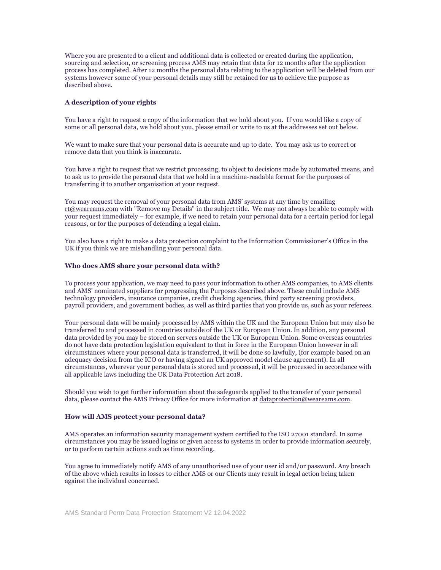Where you are presented to a client and additional data is collected or created during the application, sourcing and selection, or screening process AMS may retain that data for 12 months after the application process has completed. After 12 months the personal data relating to the application will be deleted from our systems however some of your personal details may still be retained for us to achieve the purpose as described above.

### **A description of your rights**

You have a right to request a copy of the information that we hold about you. If you would like a copy of some or all personal data, we hold about you, please email or write to us at the addresses set out below.

We want to make sure that your personal data is accurate and up to date. You may ask us to correct or remove data that you think is inaccurate.

You have a right to request that we restrict processing, to object to decisions made by automated means, and to ask us to provide the personal data that we hold in a machine-readable format for the purposes of transferring it to another organisation at your request.

You may request the removal of your personal data from AMS' systems at any time by emailing [rt@weareams.com](mailto:rt@weareams.com) with "Remove my Details" in the subject title. We may not always be able to comply with your request immediately – for example, if we need to retain your personal data for a certain period for legal reasons, or for the purposes of defending a legal claim.

You also have a right to make a data protection complaint to the Information Commissioner's Office in the UK if you think we are mishandling your personal data.

### **Who does AMS share your personal data with?**

To process your application, we may need to pass your information to other AMS companies, to AMS clients and AMS' nominated suppliers for progressing the Purposes described above. These could include AMS technology providers, insurance companies, credit checking agencies, third party screening providers, payroll providers, and government bodies, as well as third parties that you provide us, such as your referees.

Your personal data will be mainly processed by AMS within the UK and the European Union but may also be transferred to and processed in countries outside of the UK or European Union. In addition, any personal data provided by you may be stored on servers outside the UK or European Union. Some overseas countries do not have data protection legislation equivalent to that in force in the European Union however in all circumstances where your personal data is transferred, it will be done so lawfully, (for example based on an adequacy decision from the ICO or having signed an UK approved model clause agreement). In all circumstances, wherever your personal data is stored and processed, it will be processed in accordance with all applicable laws including the UK Data Protection Act 2018.

Should you wish to get further information about the safeguards applied to the transfer of your personal data, please contact the AMS Privacy Office for more information a[t dataprotection@weareams.com.](mailto:dataprotection@weareams.com)

#### **How will AMS protect your personal data?**

AMS operates an information security management system certified to the ISO 27001 standard. In some circumstances you may be issued logins or given access to systems in order to provide information securely, or to perform certain actions such as time recording.

You agree to immediately notify AMS of any unauthorised use of your user id and/or password. Any breach of the above which results in losses to either AMS or our Clients may result in legal action being taken against the individual concerned.